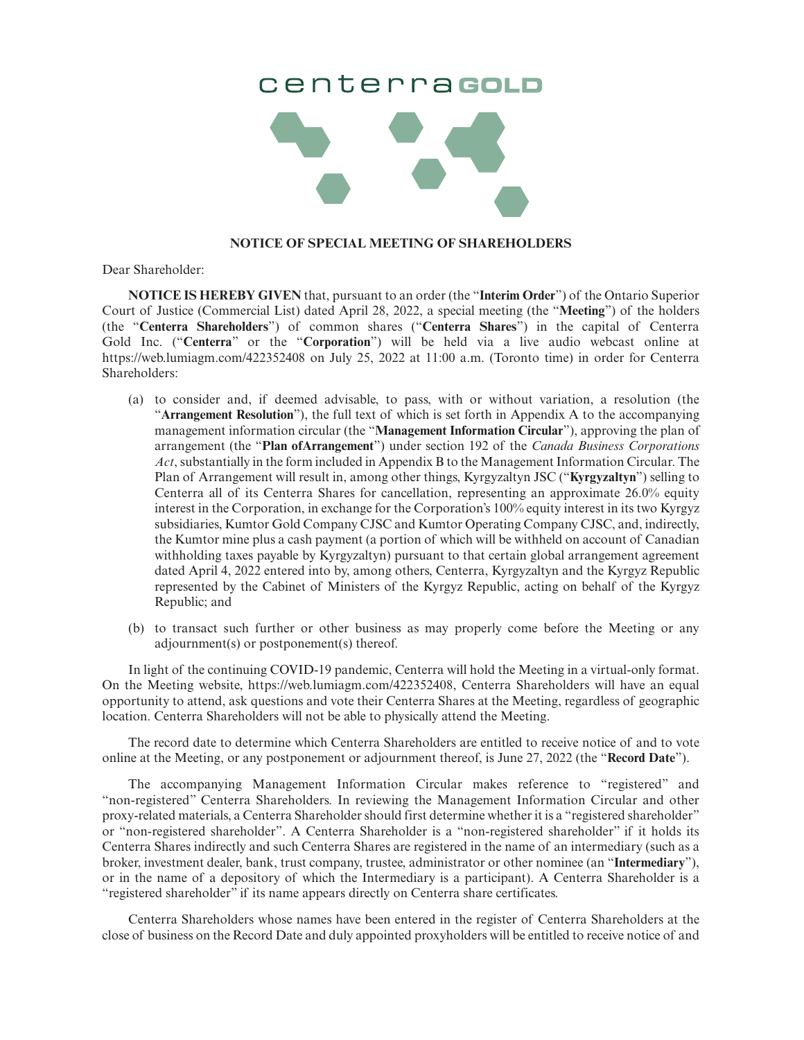## CenterragoLD



## **NOTICE OF SPECIAL MEETING OF SHAREHOLDERS**

Dear Shareholder:

**NOTICE IS HEREBY GIVEN** that, pursuant to an order (the "**Interim Order**") of the Ontario Superior Court of Justice (Commercial List) dated April 28, 2022, a special meeting (the "**Meeting**") of the holders (the "**Centerra Shareholders**") of common shares ("**Centerra Shares**") in the capital of Centerra Gold Inc. ("**Centerra**" or the "**Corporation**") will be held via a live audio webcast online at https://web.lumiagm.com/422352408 on July 25, 2022 at 11:00 a.m. (Toronto time) in order for Centerra Shareholders:

- (a) to consider and, if deemed advisable, to pass, with or without variation, a resolution (the "**Arrangement Resolution**"), the full text of which is set forth in Appendix A to the accompanying management information circular (the "**Management Information Circular**"), approving the plan of arrangement (the "**Plan ofArrangement**") under section 192 of the *Canada Business Corporations Act*, substantially in the form included in Appendix B to the Management Information Circular. The Plan of Arrangement will result in, among other things, Kyrgyzaltyn JSC ("**Kyrgyzaltyn**") selling to Centerra all of its Centerra Shares for cancellation, representing an approximate 26.0% equity interest in the Corporation, in exchange for the Corporation's 100% equity interest in its two Kyrgyz subsidiaries, Kumtor Gold Company CJSC and Kumtor Operating Company CJSC, and, indirectly, the Kumtor mine plus a cash payment (a portion of which will be withheld on account of Canadian withholding taxes payable by Kyrgyzaltyn) pursuant to that certain global arrangement agreement dated April 4, 2022 entered into by, among others, Centerra, Kyrgyzaltyn and the Kyrgyz Republic represented by the Cabinet of Ministers of the Kyrgyz Republic, acting on behalf of the Kyrgyz Republic; and
- (b) to transact such further or other business as may properly come before the Meeting or any adjournment(s) or postponement(s) thereof.

In light of the continuing COVID-19 pandemic, Centerra will hold the Meeting in a virtual-only format. On the Meeting website, https://web.lumiagm.com/422352408, Centerra Shareholders will have an equal opportunity to attend, ask questions and vote their Centerra Shares at the Meeting, regardless of geographic location. Centerra Shareholders will not be able to physically attend the Meeting.

The record date to determine which Centerra Shareholders are entitled to receive notice of and to vote online at the Meeting, or any postponement or adjournment thereof, is June 27, 2022 (the "**Record Date**").

The accompanying Management Information Circular makes reference to "registered" and "non-registered" Centerra Shareholders. In reviewing the Management Information Circular and other proxy-related materials, a Centerra Shareholder should first determine whether it is a "registered shareholder" or "non-registered shareholder". A Centerra Shareholder is a "non-registered shareholder" if it holds its Centerra Shares indirectly and such Centerra Shares are registered in the name of an intermediary (such as a broker, investment dealer, bank, trust company, trustee, administrator or other nominee (an "**Intermediary**"), or in the name of a depository of which the Intermediary is a participant). A Centerra Shareholder is a "registered shareholder" if its name appears directly on Centerra share certificates.

Centerra Shareholders whose names have been entered in the register of Centerra Shareholders at the close of business on the Record Date and duly appointed proxyholders will be entitled to receive notice of and